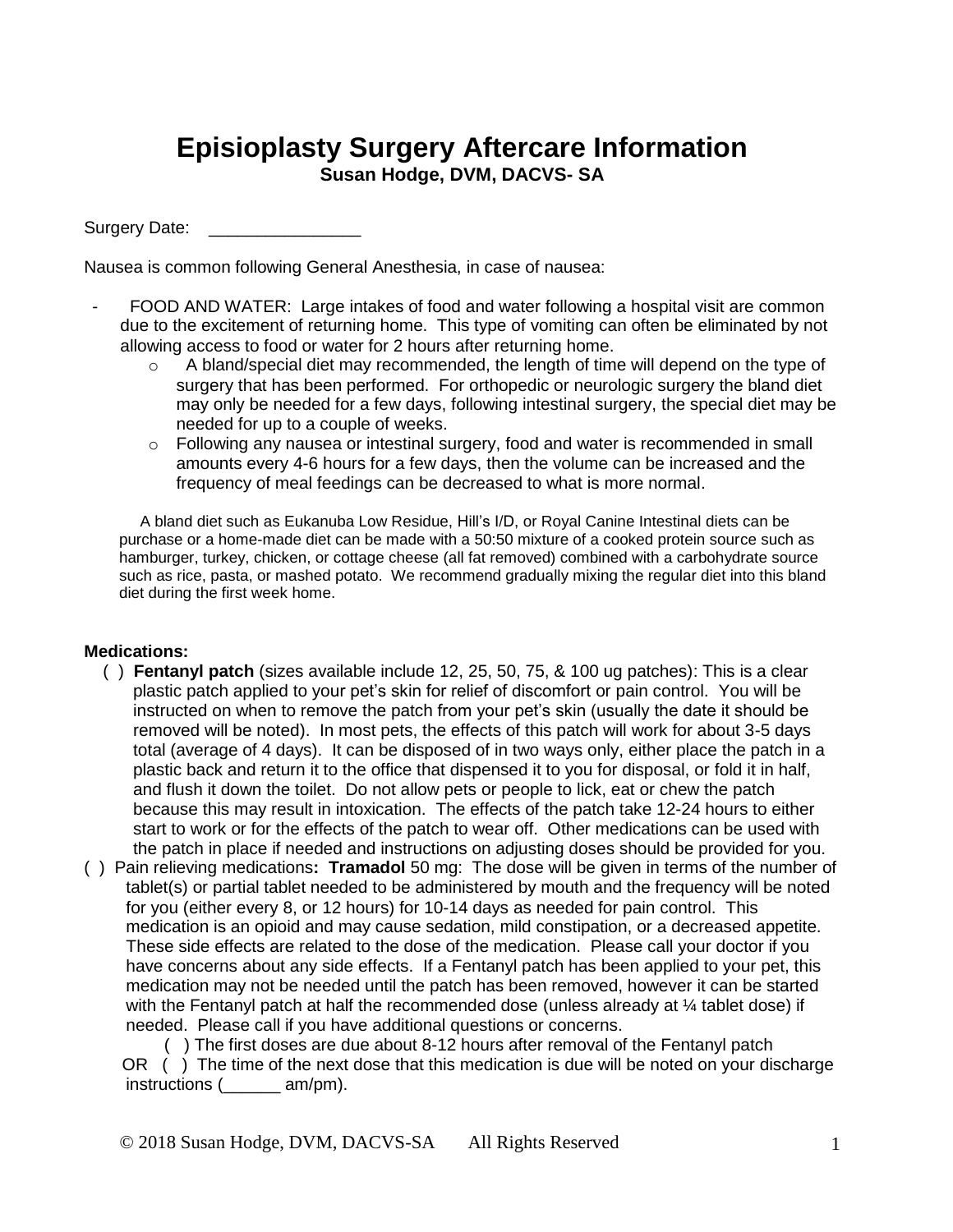## **Episioplasty Surgery Aftercare Information Susan Hodge, DVM, DACVS- SA**

Surgery Date:

Nausea is common following General Anesthesia, in case of nausea:

- FOOD AND WATER: Large intakes of food and water following a hospital visit are common due to the excitement of returning home. This type of vomiting can often be eliminated by not allowing access to food or water for 2 hours after returning home.
	- $\circ$  A bland/special diet may recommended, the length of time will depend on the type of surgery that has been performed. For orthopedic or neurologic surgery the bland diet may only be needed for a few days, following intestinal surgery, the special diet may be needed for up to a couple of weeks.
	- $\circ$  Following any nausea or intestinal surgery, food and water is recommended in small amounts every 4-6 hours for a few days, then the volume can be increased and the frequency of meal feedings can be decreased to what is more normal.

A bland diet such as Eukanuba Low Residue, Hill's I/D, or Royal Canine Intestinal diets can be purchase or a home-made diet can be made with a 50:50 mixture of a cooked protein source such as hamburger, turkey, chicken, or cottage cheese (all fat removed) combined with a carbohydrate source such as rice, pasta, or mashed potato. We recommend gradually mixing the regular diet into this bland diet during the first week home.

## **Medications:**

- ( ) **Fentanyl patch** (sizes available include 12, 25, 50, 75, & 100 ug patches): This is a clear plastic patch applied to your pet's skin for relief of discomfort or pain control. You will be instructed on when to remove the patch from your pet's skin (usually the date it should be removed will be noted). In most pets, the effects of this patch will work for about 3-5 days total (average of 4 days). It can be disposed of in two ways only, either place the patch in a plastic back and return it to the office that dispensed it to you for disposal, or fold it in half, and flush it down the toilet. Do not allow pets or people to lick, eat or chew the patch because this may result in intoxication. The effects of the patch take 12-24 hours to either start to work or for the effects of the patch to wear off. Other medications can be used with the patch in place if needed and instructions on adjusting doses should be provided for you.
- ( ) Pain relieving medications**: Tramadol** 50 mg: The dose will be given in terms of the number of tablet(s) or partial tablet needed to be administered by mouth and the frequency will be noted for you (either every 8, or 12 hours) for 10-14 days as needed for pain control. This medication is an opioid and may cause sedation, mild constipation, or a decreased appetite. These side effects are related to the dose of the medication. Please call your doctor if you have concerns about any side effects. If a Fentanyl patch has been applied to your pet, this medication may not be needed until the patch has been removed, however it can be started with the Fentanyl patch at half the recommended dose (unless already at  $\frac{1}{4}$  tablet dose) if needed. Please call if you have additional questions or concerns.

 ( ) The first doses are due about 8-12 hours after removal of the Fentanyl patch OR ( ) The time of the next dose that this medication is due will be noted on your discharge instructions (\_\_\_\_\_\_ am/pm).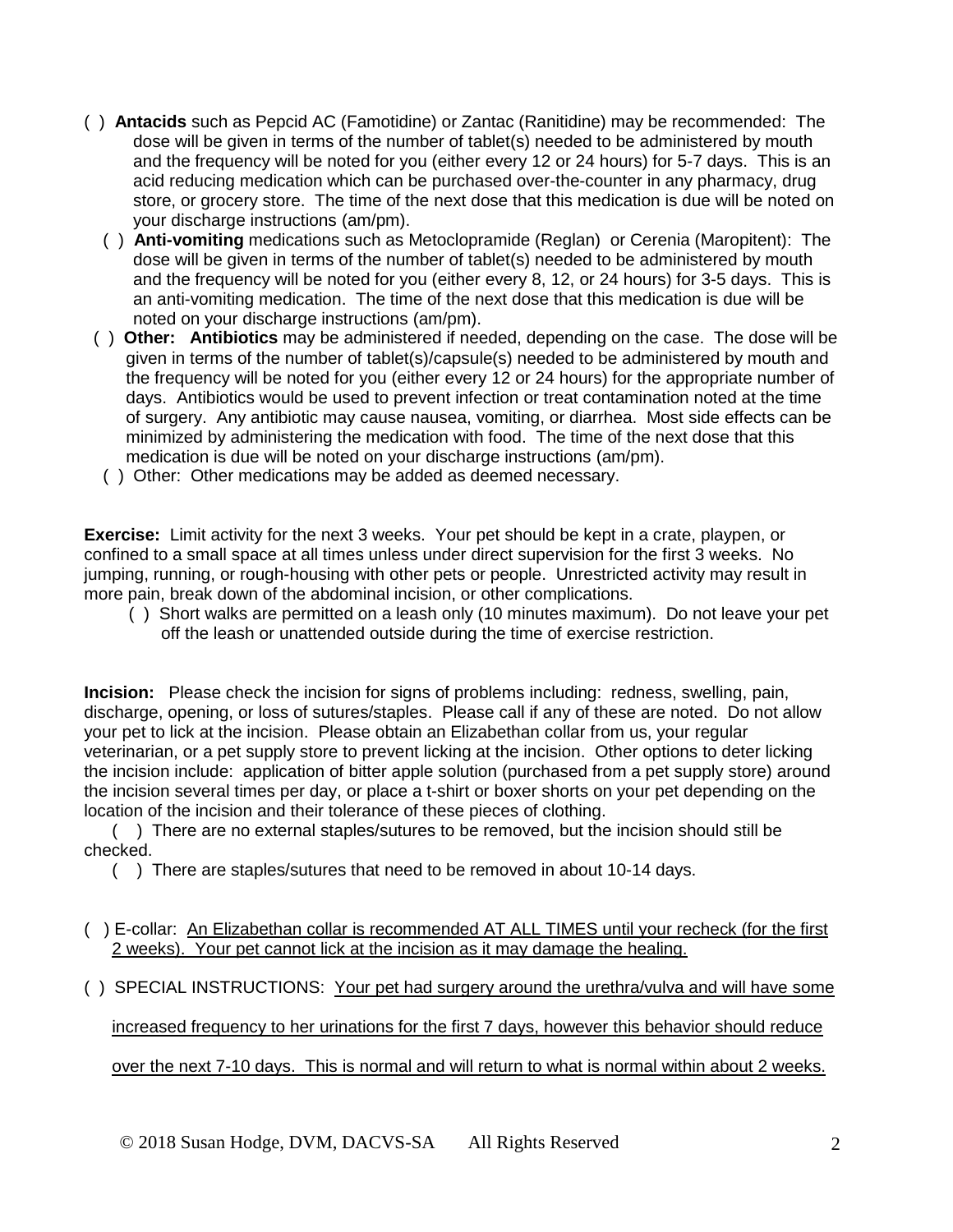- ( ) **Antacids** such as Pepcid AC (Famotidine) or Zantac (Ranitidine) may be recommended:The dose will be given in terms of the number of tablet(s) needed to be administered by mouth and the frequency will be noted for you (either every 12 or 24 hours) for 5-7 days. This is an acid reducing medication which can be purchased over-the-counter in any pharmacy, drug store, or grocery store. The time of the next dose that this medication is due will be noted on your discharge instructions (am/pm).
	- ( ) **Anti-vomiting** medications such as Metoclopramide (Reglan) or Cerenia (Maropitent): The dose will be given in terms of the number of tablet(s) needed to be administered by mouth and the frequency will be noted for you (either every 8, 12, or 24 hours) for 3-5 days. This is an anti-vomiting medication. The time of the next dose that this medication is due will be noted on your discharge instructions (am/pm).
- ( ) **Other: Antibiotics** may be administered if needed, depending on the case. The dose will be given in terms of the number of tablet(s)/capsule(s) needed to be administered by mouth and the frequency will be noted for you (either every 12 or 24 hours) for the appropriate number of days. Antibiotics would be used to prevent infection or treat contamination noted at the time of surgery. Any antibiotic may cause nausea, vomiting, or diarrhea. Most side effects can be minimized by administering the medication with food. The time of the next dose that this medication is due will be noted on your discharge instructions (am/pm).
- ( ) Other: Other medications may be added as deemed necessary.

**Exercise:** Limit activity for the next 3 weeks. Your pet should be kept in a crate, playpen, or confined to a small space at all times unless under direct supervision for the first 3 weeks. No jumping, running, or rough-housing with other pets or people. Unrestricted activity may result in more pain, break down of the abdominal incision, or other complications.

 ( ) Short walks are permitted on a leash only (10 minutes maximum). Do not leave your pet off the leash or unattended outside during the time of exercise restriction.

**Incision:** Please check the incision for signs of problems including: redness, swelling, pain, discharge, opening, or loss of sutures/staples. Please call if any of these are noted. Do not allow your pet to lick at the incision. Please obtain an Elizabethan collar from us, your regular veterinarian, or a pet supply store to prevent licking at the incision. Other options to deter licking the incision include: application of bitter apple solution (purchased from a pet supply store) around the incision several times per day, or place a t-shirt or boxer shorts on your pet depending on the location of the incision and their tolerance of these pieces of clothing.

( ) There are no external staples/sutures to be removed, but the incision should still be checked.

( ) There are staples/sutures that need to be removed in about 10-14 days.

( ) E-collar: An Elizabethan collar is recommended AT ALL TIMES until your recheck (for the first 2 weeks). Your pet cannot lick at the incision as it may damage the healing.

( ) SPECIAL INSTRUCTIONS: Your pet had surgery around the urethra/vulva and will have some

increased frequency to her urinations for the first 7 days, however this behavior should reduce

over the next 7-10 days. This is normal and will return to what is normal within about 2 weeks.